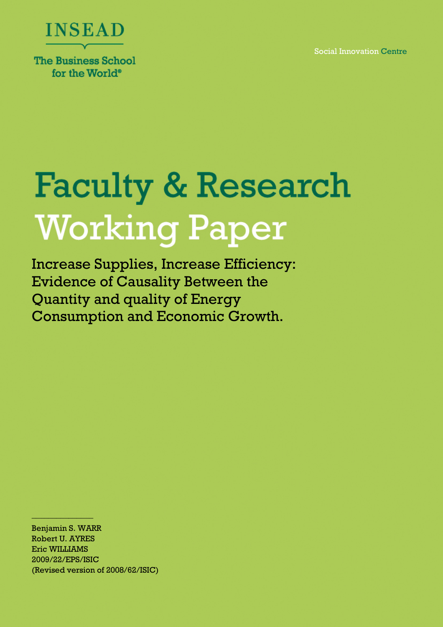Social Innovation Centre



for the World<sup>®</sup>

# **Faculty & Research Working Paper**

Increase Supplies, Increase Efficiency: Evidence of Causality Between the Quantity and quality of Energy Consumption and Economic Growth.

Benjamin S. WARR Robert U. AYRES Eric WILLIAMS 2009/22/EPS/ISIC (Revised version of 2008/62/ISIC)

 $\frac{4137.8799(11.74)}{2}$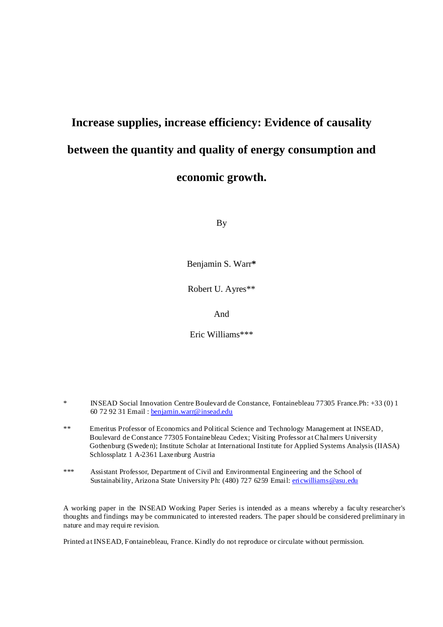# **Increase supplies, increase efficiency: Evidence of causality between the quantity and quality of energy consumption and economic growth.**

By

Benjamin S. Warr**\***

Robert U. Ayres\*\*

And

Eric Williams\*\*\*

\* INSEAD Social Innovation Centre Boulevard de Constance, Fontainebleau 77305 France.Ph: +33 (0) 1 60 72 92 31 Email : benjamin.warr@insead.edu

- \*\* Emeritus Professor of Economics and Political Science and Technology Management at INSEAD, Boulevard de Constance 77305 Fontainebleau Cedex; Visiting Professor at Chalmers University Gothenburg (Sweden); Institute Scholar at International Institute for Applied Systems Analysis (IIASA) Schlossplatz 1 A-2361 Laxenburg Austria
- \*\*\* Assistant Professor, Department of Civil and Environmental Engineering and the School of Sustainability, Arizona State University Ph: (480) 727 6259 Email: *ericwilliams@asu.edu*

A working paper in the INSEAD Working Paper Series is intended as a means whereby a faculty researcher's thoughts and findings may be communicated to interested readers. The paper should be considered preliminary in nature and may require revision.

Printed at INSEAD, Fontainebleau, France. Kindly do not reproduce or circulate without permission.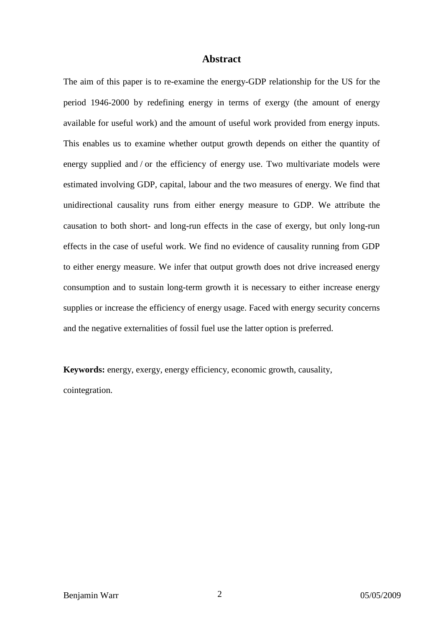#### **Abstract**

The aim of this paper is to re-examine the energy-GDP relationship for the US for the period 1946-2000 by redefining energy in terms of exergy (the amount of energy available for useful work) and the amount of useful work provided from energy inputs. This enables us to examine whether output growth depends on either the quantity of energy supplied and / or the efficiency of energy use. Two multivariate models were estimated involving GDP, capital, labour and the two measures of energy. We find that unidirectional causality runs from either energy measure to GDP. We attribute the causation to both short- and long-run effects in the case of exergy, but only long-run effects in the case of useful work. We find no evidence of causality running from GDP to either energy measure. We infer that output growth does not drive increased energy consumption and to sustain long-term growth it is necessary to either increase energy supplies or increase the efficiency of energy usage. Faced with energy security concerns and the negative externalities of fossil fuel use the latter option is preferred.

**Keywords:** energy, exergy, energy efficiency, economic growth, causality, cointegration.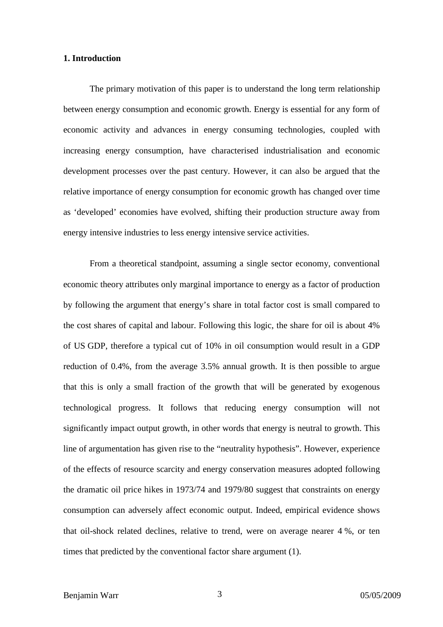#### **1. Introduction**

The primary motivation of this paper is to understand the long term relationship between energy consumption and economic growth. Energy is essential for any form of economic activity and advances in energy consuming technologies, coupled with increasing energy consumption, have characterised industrialisation and economic development processes over the past century. However, it can also be argued that the relative importance of energy consumption for economic growth has changed over time as 'developed' economies have evolved, shifting their production structure away from energy intensive industries to less energy intensive service activities.

From a theoretical standpoint, assuming a single sector economy, conventional economic theory attributes only marginal importance to energy as a factor of production by following the argument that energy's share in total factor cost is small compared to the cost shares of capital and labour. Following this logic, the share for oil is about 4% of US GDP, therefore a typical cut of 10% in oil consumption would result in a GDP reduction of 0.4%, from the average 3.5% annual growth. It is then possible to argue that this is only a small fraction of the growth that will be generated by exogenous technological progress. It follows that reducing energy consumption will not significantly impact output growth, in other words that energy is neutral to growth. This line of argumentation has given rise to the "neutrality hypothesis". However, experience of the effects of resource scarcity and energy conservation measures adopted following the dramatic oil price hikes in 1973/74 and 1979/80 suggest that constraints on energy consumption can adversely affect economic output. Indeed, empirical evidence shows that oil-shock related declines, relative to trend, were on average nearer 4 %, or ten times that predicted by the conventional factor share argument (1).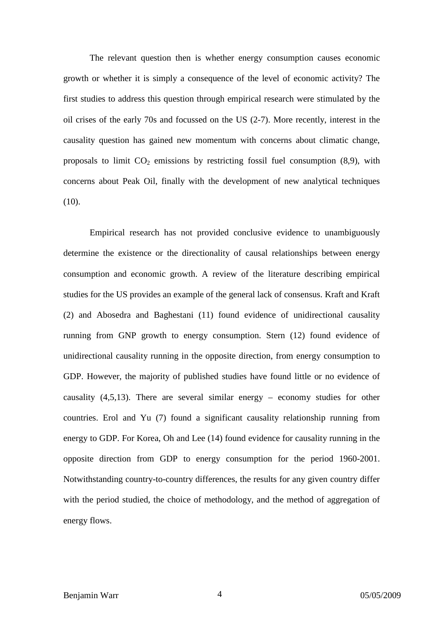The relevant question then is whether energy consumption causes economic growth or whether it is simply a consequence of the level of economic activity? The first studies to address this question through empirical research were stimulated by the oil crises of the early 70s and focussed on the US (2-7). More recently, interest in the causality question has gained new momentum with concerns about climatic change, proposals to limit  $CO<sub>2</sub>$  emissions by restricting fossil fuel consumption (8,9), with concerns about Peak Oil, finally with the development of new analytical techniques  $(10).$ 

Empirical research has not provided conclusive evidence to unambiguously determine the existence or the directionality of causal relationships between energy consumption and economic growth. A review of the literature describing empirical studies for the US provides an example of the general lack of consensus. Kraft and Kraft (2) and Abosedra and Baghestani (11) found evidence of unidirectional causality running from GNP growth to energy consumption. Stern (12) found evidence of unidirectional causality running in the opposite direction, from energy consumption to GDP. However, the majority of published studies have found little or no evidence of causality  $(4,5,13)$ . There are several similar energy – economy studies for other countries. Erol and Yu (7) found a significant causality relationship running from energy to GDP. For Korea, Oh and Lee (14) found evidence for causality running in the opposite direction from GDP to energy consumption for the period 1960-2001. Notwithstanding country-to-country differences, the results for any given country differ with the period studied, the choice of methodology, and the method of aggregation of energy flows.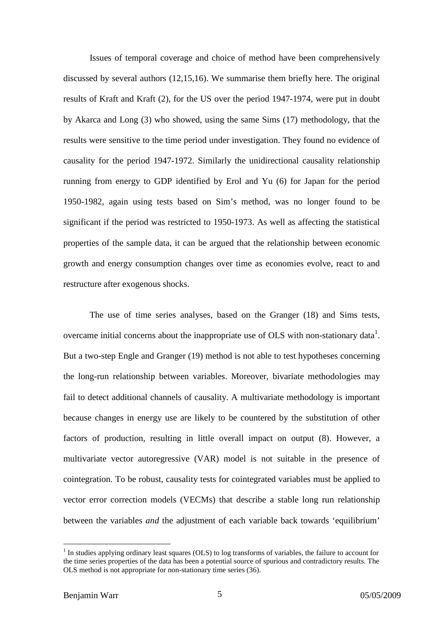Issues of temporal coverage and choice of method have been comprehensively discussed by several authors (12,15,16). We summarise them briefly here. The original results of Kraft and Kraft (2), for the US over the period 1947-1974, were put in doubt by Akarca and Long (3) who showed, using the same Sims (17) methodology, that the results were sensitive to the time period under investigation. They found no evidence of causality for the period 1947-1972. Similarly the unidirectional causality relationship running from energy to GDP identified by Erol and Yu (6) for Japan for the period 1950-1982, again using tests based on Sim's method, was no longer found to be significant if the period was restricted to 1950-1973. As well as affecting the statistical properties of the sample data, it can be argued that the relationship between economic growth and energy consumption changes over time as economies evolve, react to and restructure after exogenous shocks.

The use of time series analyses, based on the Granger (18) and Sims tests, overcame initial concerns about the inappropriate use of OLS with non-stationary data<sup>1</sup>. But a two-step Engle and Granger (19) method is not able to test hypotheses concerning the long-run relationship between variables. Moreover, bivariate methodologies may fail to detect additional channels of causality. A multivariate methodology is important because changes in energy use are likely to be countered by the substitution of other factors of production, resulting in little overall impact on output (8). However, a multivariate vector autoregressive (VAR) model is not suitable in the presence of cointegration. To be robust, causality tests for cointegrated variables must be applied to vector error correction models (VECMs) that describe a stable long run relationship between the variables *and* the adjustment of each variable back towards 'equilibrium'

 $<sup>1</sup>$  In studies applying ordinary least squares (OLS) to log transforms of variables, the failure to account for</sup> the time series properties of the data has been a potential source of spurious and contradictory results. The OLS method is not appropriate for non-stationary time series (36).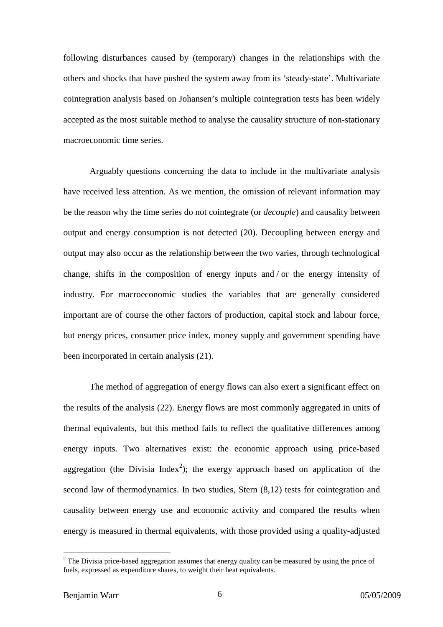following disturbances caused by (temporary) changes in the relationships with the others and shocks that have pushed the system away from its 'steady-state'. Multivariate cointegration analysis based on Johansen's multiple cointegration tests has been widely accepted as the most suitable method to analyse the causality structure of non-stationary macroeconomic time series.

Arguably questions concerning the data to include in the multivariate analysis have received less attention. As we mention, the omission of relevant information may be the reason why the time series do not cointegrate (or *decouple*) and causality between output and energy consumption is not detected (20). Decoupling between energy and output may also occur as the relationship between the two varies, through technological change, shifts in the composition of energy inputs and / or the energy intensity of industry. For macroeconomic studies the variables that are generally considered important are of course the other factors of production, capital stock and labour force, but energy prices, consumer price index, money supply and government spending have been incorporated in certain analysis (21).

The method of aggregation of energy flows can also exert a significant effect on the results of the analysis (22). Energy flows are most commonly aggregated in units of thermal equivalents, but this method fails to reflect the qualitative differences among energy inputs. Two alternatives exist: the economic approach using price-based aggregation (the Divisia Index<sup>2</sup>); the exergy approach based on application of the second law of thermodynamics. In two studies, Stern (8,12) tests for cointegration and causality between energy use and economic activity and compared the results when energy is measured in thermal equivalents, with those provided using a quality-adjusted

 $2$  The Divisia price-based aggregation assumes that energy quality can be measured by using the price of fuels, expressed as expenditure shares, to weight their heat equivalents.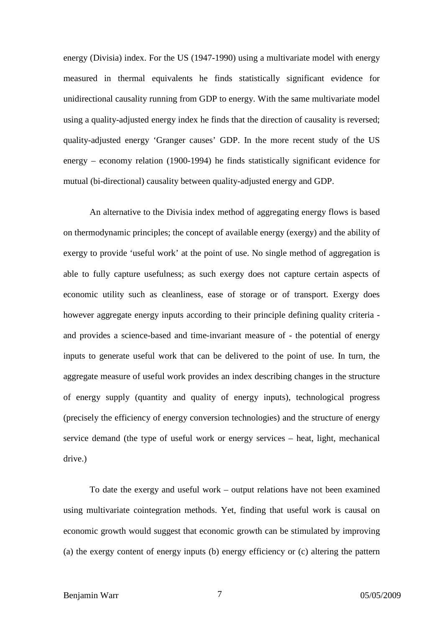energy (Divisia) index. For the US (1947-1990) using a multivariate model with energy measured in thermal equivalents he finds statistically significant evidence for unidirectional causality running from GDP to energy. With the same multivariate model using a quality-adjusted energy index he finds that the direction of causality is reversed; quality-adjusted energy 'Granger causes' GDP. In the more recent study of the US energy – economy relation (1900-1994) he finds statistically significant evidence for mutual (bi-directional) causality between quality-adjusted energy and GDP.

An alternative to the Divisia index method of aggregating energy flows is based on thermodynamic principles; the concept of available energy (exergy) and the ability of exergy to provide 'useful work' at the point of use. No single method of aggregation is able to fully capture usefulness; as such exergy does not capture certain aspects of economic utility such as cleanliness, ease of storage or of transport. Exergy does however aggregate energy inputs according to their principle defining quality criteria and provides a science-based and time-invariant measure of - the potential of energy inputs to generate useful work that can be delivered to the point of use. In turn, the aggregate measure of useful work provides an index describing changes in the structure of energy supply (quantity and quality of energy inputs), technological progress (precisely the efficiency of energy conversion technologies) and the structure of energy service demand (the type of useful work or energy services – heat, light, mechanical drive.)

To date the exergy and useful work – output relations have not been examined using multivariate cointegration methods. Yet, finding that useful work is causal on economic growth would suggest that economic growth can be stimulated by improving (a) the exergy content of energy inputs (b) energy efficiency or (c) altering the pattern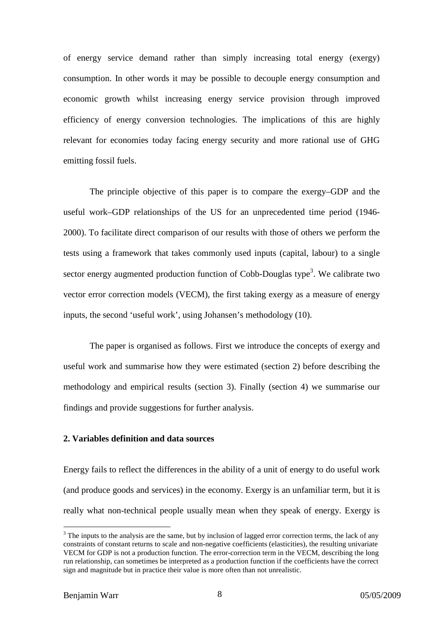of energy service demand rather than simply increasing total energy (exergy) consumption. In other words it may be possible to decouple energy consumption and economic growth whilst increasing energy service provision through improved efficiency of energy conversion technologies. The implications of this are highly relevant for economies today facing energy security and more rational use of GHG emitting fossil fuels.

The principle objective of this paper is to compare the exergy–GDP and the useful work–GDP relationships of the US for an unprecedented time period (1946- 2000). To facilitate direct comparison of our results with those of others we perform the tests using a framework that takes commonly used inputs (capital, labour) to a single sector energy augmented production function of Cobb-Douglas type<sup>3</sup>. We calibrate two vector error correction models (VECM), the first taking exergy as a measure of energy inputs, the second 'useful work', using Johansen's methodology (10).

The paper is organised as follows. First we introduce the concepts of exergy and useful work and summarise how they were estimated (section 2) before describing the methodology and empirical results (section 3). Finally (section 4) we summarise our findings and provide suggestions for further analysis.

#### **2. Variables definition and data sources**

Energy fails to reflect the differences in the ability of a unit of energy to do useful work (and produce goods and services) in the economy. Exergy is an unfamiliar term, but it is really what non-technical people usually mean when they speak of energy. Exergy is

 $3$  The inputs to the analysis are the same, but by inclusion of lagged error correction terms, the lack of any constraints of constant returns to scale and non-negative coefficients (elasticities), the resulting univariate VECM for GDP is not a production function. The error-correction term in the VECM, describing the long run relationship, can sometimes be interpreted as a production function if the coefficients have the correct sign and magnitude but in practice their value is more often than not unrealistic.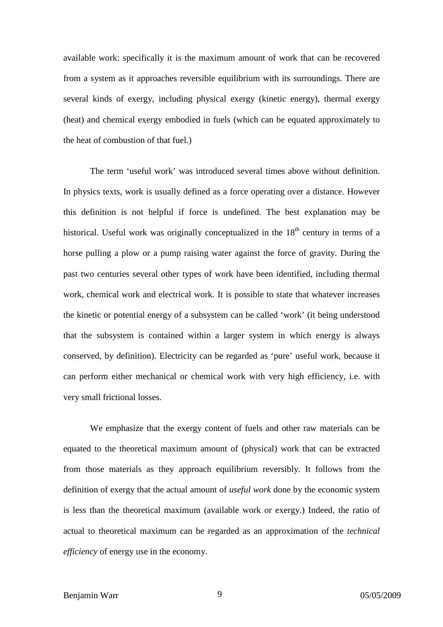available work: specifically it is the maximum amount of work that can be recovered from a system as it approaches reversible equilibrium with its surroundings. There are several kinds of exergy, including physical exergy (kinetic energy), thermal exergy (heat) and chemical exergy embodied in fuels (which can be equated approximately to the heat of combustion of that fuel.)

The term 'useful work' was introduced several times above without definition. In physics texts, work is usually defined as a force operating over a distance. However this definition is not helpful if force is undefined. The best explanation may be historical. Useful work was originally conceptualized in the  $18<sup>th</sup>$  century in terms of a horse pulling a plow or a pump raising water against the force of gravity. During the past two centuries several other types of work have been identified, including thermal work, chemical work and electrical work. It is possible to state that whatever increases the kinetic or potential energy of a subsystem can be called 'work' (it being understood that the subsystem is contained within a larger system in which energy is always conserved, by definition). Electricity can be regarded as 'pure' useful work, because it can perform either mechanical or chemical work with very high efficiency, i.e. with very small frictional losses.

We emphasize that the exergy content of fuels and other raw materials can be equated to the theoretical maximum amount of (physical) work that can be extracted from those materials as they approach equilibrium reversibly. It follows from the definition of exergy that the actual amount of *useful work* done by the economic system is less than the theoretical maximum (available work or exergy.) Indeed, the ratio of actual to theoretical maximum can be regarded as an approximation of the *technical efficiency* of energy use in the economy.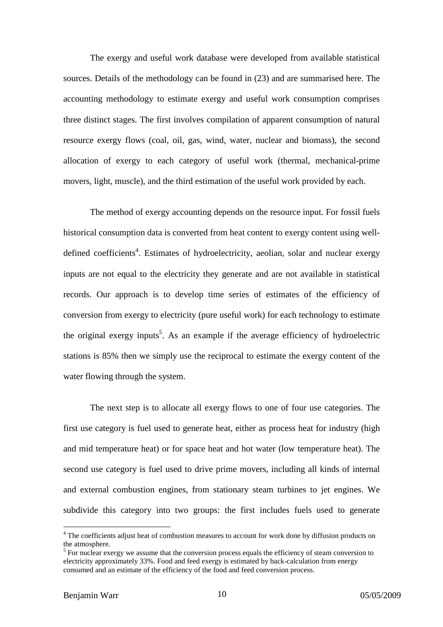The exergy and useful work database were developed from available statistical sources. Details of the methodology can be found in (23) and are summarised here. The accounting methodology to estimate exergy and useful work consumption comprises three distinct stages. The first involves compilation of apparent consumption of natural resource exergy flows (coal, oil, gas, wind, water, nuclear and biomass), the second allocation of exergy to each category of useful work (thermal, mechanical-prime movers, light, muscle), and the third estimation of the useful work provided by each.

The method of exergy accounting depends on the resource input. For fossil fuels historical consumption data is converted from heat content to exergy content using welldefined coefficients<sup>4</sup>. Estimates of hydroelectricity, aeolian, solar and nuclear exergy inputs are not equal to the electricity they generate and are not available in statistical records. Our approach is to develop time series of estimates of the efficiency of conversion from exergy to electricity (pure useful work) for each technology to estimate the original exergy inputs<sup>5</sup>. As an example if the average efficiency of hydroelectric stations is 85% then we simply use the reciprocal to estimate the exergy content of the water flowing through the system.

The next step is to allocate all exergy flows to one of four use categories. The first use category is fuel used to generate heat, either as process heat for industry (high and mid temperature heat) or for space heat and hot water (low temperature heat). The second use category is fuel used to drive prime movers, including all kinds of internal and external combustion engines, from stationary steam turbines to jet engines. We subdivide this category into two groups: the first includes fuels used to generate

<sup>&</sup>lt;sup>4</sup> The coefficients adjust heat of combustion measures to account for work done by diffusion products on the atmosphere.

 $<sup>5</sup>$  For nuclear exergy we assume that the conversion process equals the efficiency of steam conversion to</sup> electricity approximately 33%. Food and feed exergy is estimated by back-calculation from energy consumed and an estimate of the efficiency of the food and feed conversion process.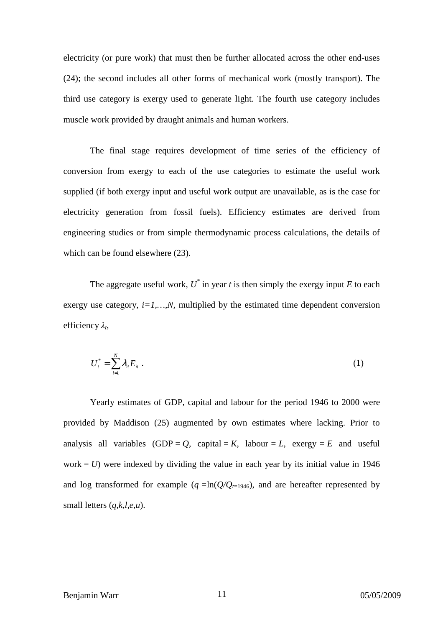electricity (or pure work) that must then be further allocated across the other end-uses (24); the second includes all other forms of mechanical work (mostly transport). The third use category is exergy used to generate light. The fourth use category includes muscle work provided by draught animals and human workers.

The final stage requires development of time series of the efficiency of conversion from exergy to each of the use categories to estimate the useful work supplied (if both exergy input and useful work output are unavailable, as is the case for electricity generation from fossil fuels). Efficiency estimates are derived from engineering studies or from simple thermodynamic process calculations, the details of which can be found elsewhere  $(23)$ .

The aggregate useful work,  $U^*$  in year *t* is then simply the exergy input *E* to each exergy use category,  $i=1,...,N$ , multiplied by the estimated time dependent conversion efficiency *λ<sup>t</sup>* ,

$$
U_t^* = \sum_{i=1}^N \lambda_{it} E_{it} \tag{1}
$$

Yearly estimates of GDP, capital and labour for the period 1946 to 2000 were provided by Maddison (25) augmented by own estimates where lacking. Prior to analysis all variables  $(GDP = Q, capital = K, labour = L, exergy = E and useful$ work  $= U$ ) were indexed by dividing the value in each year by its initial value in 1946 and log transformed for example  $(q = ln(Q/Q_{t=1946})$ , and are hereafter represented by small letters (*q,k,l,e,u*).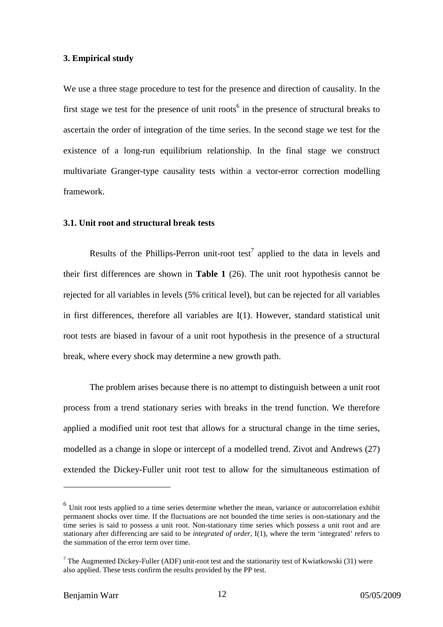#### **3. Empirical study**

We use a three stage procedure to test for the presence and direction of causality. In the first stage we test for the presence of unit roots<sup>6</sup> in the presence of structural breaks to ascertain the order of integration of the time series. In the second stage we test for the existence of a long-run equilibrium relationship. In the final stage we construct multivariate Granger-type causality tests within a vector-error correction modelling framework.

#### **3.1. Unit root and structural break tests**

Results of the Phillips-Perron unit-root test<sup>7</sup> applied to the data in levels and their first differences are shown in **Table 1** (26). The unit root hypothesis cannot be rejected for all variables in levels (5% critical level), but can be rejected for all variables in first differences, therefore all variables are I(1). However, standard statistical unit root tests are biased in favour of a unit root hypothesis in the presence of a structural break, where every shock may determine a new growth path.

The problem arises because there is no attempt to distinguish between a unit root process from a trend stationary series with breaks in the trend function. We therefore applied a modified unit root test that allows for a structural change in the time series, modelled as a change in slope or intercept of a modelled trend. Zivot and Andrews (27) extended the Dickey-Fuller unit root test to allow for the simultaneous estimation of

 $<sup>6</sup>$  Unit root tests applied to a time series determine whether the mean, variance or autocorrelation exhibit</sup> permanent shocks over time. If the fluctuations are not bounded the time series is non-stationary and the time series is said to possess a unit root. Non-stationary time series which possess a unit root and are stationary after differencing are said to be *integrated of order,* I(1), where the term 'integrated' refers to the summation of the error term over time.

<sup>&</sup>lt;sup>7</sup> The Augmented Dickey-Fuller (ADF) unit-root test and the stationarity test of Kwiatkowski (31) were also applied. These tests confirm the results provided by the PP test.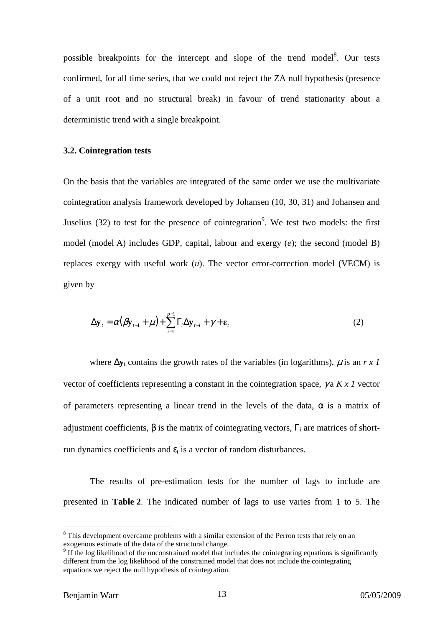possible breakpoints for the intercept and slope of the trend model<sup>8</sup>. Our tests confirmed, for all time series, that we could not reject the ZA null hypothesis (presence of a unit root and no structural break) in favour of trend stationarity about a deterministic trend with a single breakpoint.

#### **3.2. Cointegration tests**

On the basis that the variables are integrated of the same order we use the multivariate cointegration analysis framework developed by Johansen (10, 30, 31) and Johansen and Juselius  $(32)$  to test for the presence of cointegration<sup>9</sup>. We test two models: the first model (model A) includes GDP, capital, labour and exergy (*e*); the second (model B) replaces exergy with useful work (*u*). The vector error-correction model (VECM) is given by

$$
\Delta \mathbf{y}_{t} = \alpha (\beta \mathbf{y}_{t-1} + \mu) + \sum_{i=1}^{p-1} \Gamma_{i} \Delta \mathbf{y}_{t-i} + \gamma + \varepsilon_{t}
$$
\n(2)

where  $\Delta y_t$  contains the growth rates of the variables (in logarithms),  $\mu$  is an  $r \times 1$ vector of coefficients representing a constant in the cointegration space, γ a *K x 1* vector of parameters representing a linear trend in the levels of the data,  $\alpha$  is a matrix of adjustment coefficients,  $\beta$  is the matrix of cointegrating vectors,  $\Gamma_i$  are matrices of shortrun dynamics coefficients and  $\varepsilon_t$  is a vector of random disturbances.

The results of pre-estimation tests for the number of lags to include are presented in **Table 2**. The indicated number of lags to use varies from 1 to 5. The

<sup>&</sup>lt;sup>8</sup> This development overcame problems with a similar extension of the Perron tests that rely on an exogenous estimate of the data of the structural change.

<sup>&</sup>lt;sup>9</sup> If the log likelihood of the unconstrained model that includes the cointegrating equations is significantly different from the log likelihood of the constrained model that does not include the cointegrating equations we reject the null hypothesis of cointegration.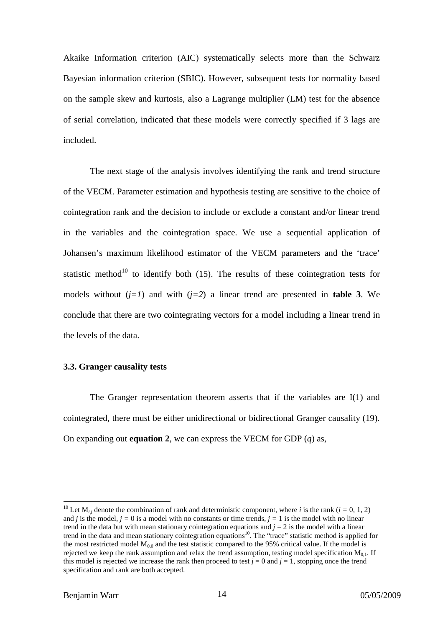Akaike Information criterion (AIC) systematically selects more than the Schwarz Bayesian information criterion (SBIC). However, subsequent tests for normality based on the sample skew and kurtosis, also a Lagrange multiplier (LM) test for the absence of serial correlation, indicated that these models were correctly specified if 3 lags are included.

The next stage of the analysis involves identifying the rank and trend structure of the VECM. Parameter estimation and hypothesis testing are sensitive to the choice of cointegration rank and the decision to include or exclude a constant and/or linear trend in the variables and the cointegration space. We use a sequential application of Johansen's maximum likelihood estimator of the VECM parameters and the 'trace' statistic method<sup>10</sup> to identify both  $(15)$ . The results of these cointegration tests for models without  $(i=1)$  and with  $(i=2)$  a linear trend are presented in **table 3**. We conclude that there are two cointegrating vectors for a model including a linear trend in the levels of the data.

#### **3.3. Granger causality tests**

The Granger representation theorem asserts that if the variables are  $I(1)$  and cointegrated, there must be either unidirectional or bidirectional Granger causality (19). On expanding out **equation 2**, we can express the VECM for GDP (*q*) as,

<sup>&</sup>lt;sup>10</sup> Let  $M_{i,j}$  denote the combination of rank and deterministic component, where *i* is the rank ( $i = 0, 1, 2$ ) and *j* is the model,  $j = 0$  is a model with no constants or time trends,  $j = 1$  is the model with no linear trend in the data but with mean stationary cointegration equations and  $j = 2$  is the model with a linear trend in the data and mean stationary cointegration equations<sup>10</sup>. The "trace" statistic method is applied for the most restricted model  $M_{0,0}$  and the test statistic compared to the 95% critical value. If the model is rejected we keep the rank assumption and relax the trend assumption, testing model specification  $M_{0,1}$ . If this model is rejected we increase the rank then proceed to test  $j = 0$  and  $j = 1$ , stopping once the trend specification and rank are both accepted.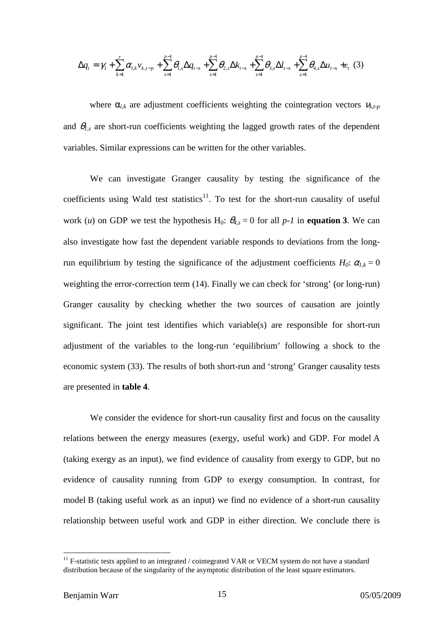$$
\Delta q_{t} = \gamma_{1} + \sum_{k=1}^{r} \alpha_{1,k} v_{k,t-p} + \sum_{s=1}^{p-1} \theta_{1,s} \Delta q_{t-s} + \sum_{s=1}^{p-1} \theta_{2,s} \Delta k_{t-s} + \sum_{s=1}^{p-1} \theta_{3,s} \Delta l_{t-s} + \sum_{s=1}^{p-1} \theta_{4,s} \Delta u_{t-s} + \varepsilon_{t} (3)
$$

where  $\alpha_{i,k}$  are adjustment coefficients weighting the cointegration vectors  $v_{k,t-p}$ and  $\theta_{l,s}$  are short-run coefficients weighting the lagged growth rates of the dependent variables. Similar expressions can be written for the other variables.

We can investigate Granger causality by testing the significance of the coefficients using Wald test statistics<sup>11</sup>. To test for the short-run causality of useful work (*u*) on GDP we test the hypothesis H<sub>0</sub>:  $\theta_{4,s} = 0$  for all *p-1* in **equation 3**. We can also investigate how fast the dependent variable responds to deviations from the longrun equilibrium by testing the significance of the adjustment coefficients  $H_0$ :  $\alpha_{l,k} = 0$ weighting the error-correction term (14). Finally we can check for 'strong' (or long-run) Granger causality by checking whether the two sources of causation are jointly significant. The joint test identifies which variable(s) are responsible for short-run adjustment of the variables to the long-run 'equilibrium' following a shock to the economic system (33). The results of both short-run and 'strong' Granger causality tests are presented in **table 4**.

We consider the evidence for short-run causality first and focus on the causality relations between the energy measures (exergy, useful work) and GDP. For model A (taking exergy as an input), we find evidence of causality from exergy to GDP, but no evidence of causality running from GDP to exergy consumption. In contrast, for model B (taking useful work as an input) we find no evidence of a short-run causality relationship between useful work and GDP in either direction. We conclude there is

 $11$  F-statistic tests applied to an integrated / cointegrated VAR or VECM system do not have a standard distribution because of the singularity of the asymptotic distribution of the least square estimators.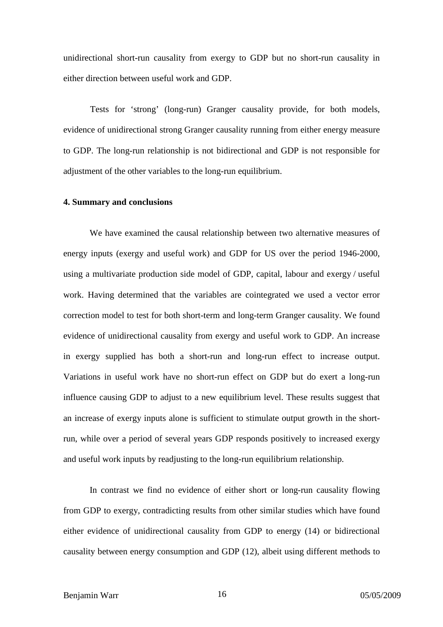unidirectional short-run causality from exergy to GDP but no short-run causality in either direction between useful work and GDP.

Tests for 'strong' (long-run) Granger causality provide, for both models, evidence of unidirectional strong Granger causality running from either energy measure to GDP. The long-run relationship is not bidirectional and GDP is not responsible for adjustment of the other variables to the long-run equilibrium.

#### **4. Summary and conclusions**

We have examined the causal relationship between two alternative measures of energy inputs (exergy and useful work) and GDP for US over the period 1946-2000, using a multivariate production side model of GDP, capital, labour and exergy / useful work. Having determined that the variables are cointegrated we used a vector error correction model to test for both short-term and long-term Granger causality. We found evidence of unidirectional causality from exergy and useful work to GDP. An increase in exergy supplied has both a short-run and long-run effect to increase output. Variations in useful work have no short-run effect on GDP but do exert a long-run influence causing GDP to adjust to a new equilibrium level. These results suggest that an increase of exergy inputs alone is sufficient to stimulate output growth in the shortrun, while over a period of several years GDP responds positively to increased exergy and useful work inputs by readjusting to the long-run equilibrium relationship.

In contrast we find no evidence of either short or long-run causality flowing from GDP to exergy, contradicting results from other similar studies which have found either evidence of unidirectional causality from GDP to energy (14) or bidirectional causality between energy consumption and GDP (12), albeit using different methods to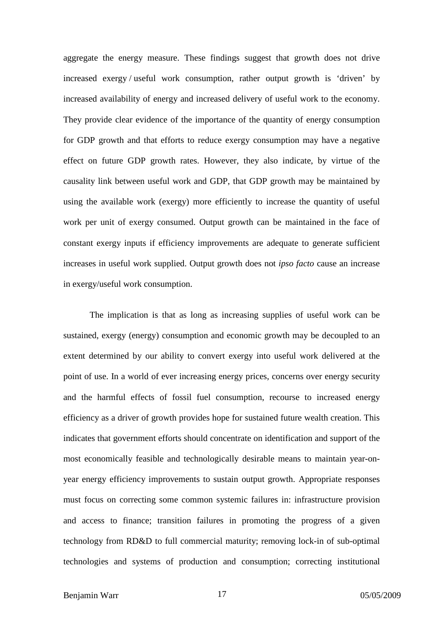aggregate the energy measure. These findings suggest that growth does not drive increased exergy / useful work consumption, rather output growth is 'driven' by increased availability of energy and increased delivery of useful work to the economy. They provide clear evidence of the importance of the quantity of energy consumption for GDP growth and that efforts to reduce exergy consumption may have a negative effect on future GDP growth rates. However, they also indicate, by virtue of the causality link between useful work and GDP, that GDP growth may be maintained by using the available work (exergy) more efficiently to increase the quantity of useful work per unit of exergy consumed. Output growth can be maintained in the face of constant exergy inputs if efficiency improvements are adequate to generate sufficient increases in useful work supplied. Output growth does not *ipso facto* cause an increase in exergy/useful work consumption.

The implication is that as long as increasing supplies of useful work can be sustained, exergy (energy) consumption and economic growth may be decoupled to an extent determined by our ability to convert exergy into useful work delivered at the point of use. In a world of ever increasing energy prices, concerns over energy security and the harmful effects of fossil fuel consumption, recourse to increased energy efficiency as a driver of growth provides hope for sustained future wealth creation. This indicates that government efforts should concentrate on identification and support of the most economically feasible and technologically desirable means to maintain year-onyear energy efficiency improvements to sustain output growth. Appropriate responses must focus on correcting some common systemic failures in: infrastructure provision and access to finance; transition failures in promoting the progress of a given technology from RD&D to full commercial maturity; removing lock-in of sub-optimal technologies and systems of production and consumption; correcting institutional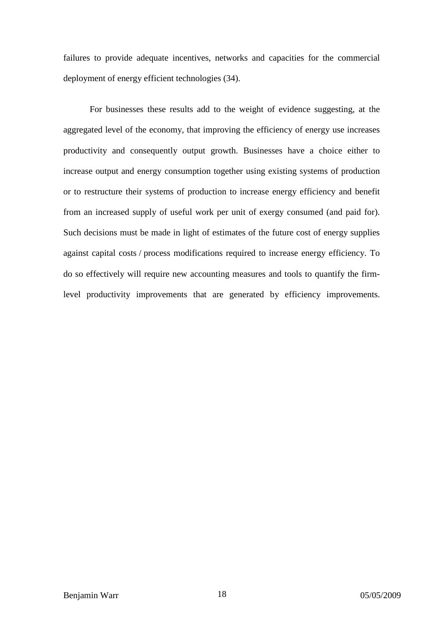failures to provide adequate incentives, networks and capacities for the commercial deployment of energy efficient technologies (34).

For businesses these results add to the weight of evidence suggesting, at the aggregated level of the economy, that improving the efficiency of energy use increases productivity and consequently output growth. Businesses have a choice either to increase output and energy consumption together using existing systems of production or to restructure their systems of production to increase energy efficiency and benefit from an increased supply of useful work per unit of exergy consumed (and paid for). Such decisions must be made in light of estimates of the future cost of energy supplies against capital costs / process modifications required to increase energy efficiency. To do so effectively will require new accounting measures and tools to quantify the firmlevel productivity improvements that are generated by efficiency improvements.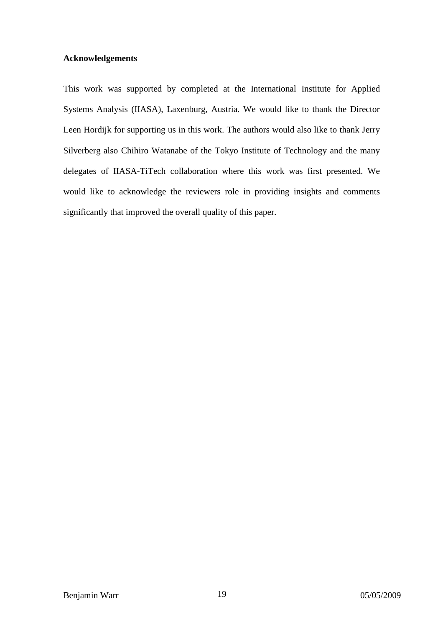#### **Acknowledgements**

This work was supported by completed at the International Institute for Applied Systems Analysis (IIASA), Laxenburg, Austria. We would like to thank the Director Leen Hordijk for supporting us in this work. The authors would also like to thank Jerry Silverberg also Chihiro Watanabe of the Tokyo Institute of Technology and the many delegates of IIASA-TiTech collaboration where this work was first presented. We would like to acknowledge the reviewers role in providing insights and comments significantly that improved the overall quality of this paper.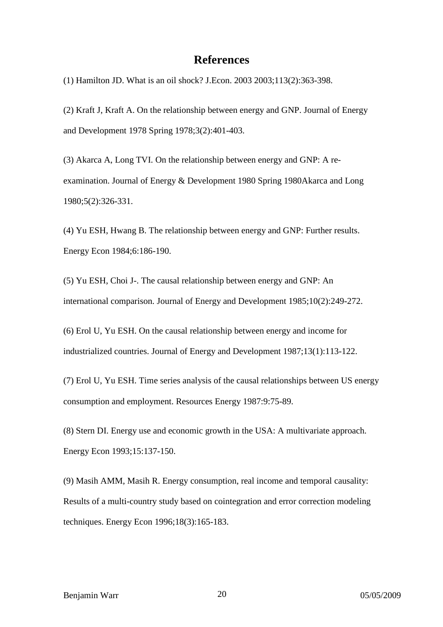# **References**

(1) Hamilton JD. What is an oil shock? J.Econ. 2003 2003;113(2):363-398.

(2) Kraft J, Kraft A. On the relationship between energy and GNP. Journal of Energy and Development 1978 Spring 1978;3(2):401-403.

(3) Akarca A, Long TVI. On the relationship between energy and GNP: A reexamination. Journal of Energy & Development 1980 Spring 1980Akarca and Long 1980;5(2):326-331.

(4) Yu ESH, Hwang B. The relationship between energy and GNP: Further results. Energy Econ 1984;6:186-190.

(5) Yu ESH, Choi J-. The causal relationship between energy and GNP: An international comparison. Journal of Energy and Development 1985;10(2):249-272.

(6) Erol U, Yu ESH. On the causal relationship between energy and income for industrialized countries. Journal of Energy and Development 1987;13(1):113-122.

(7) Erol U, Yu ESH. Time series analysis of the causal relationships between US energy consumption and employment. Resources Energy 1987:9:75-89.

(8) Stern DI. Energy use and economic growth in the USA: A multivariate approach. Energy Econ 1993;15:137-150.

(9) Masih AMM, Masih R. Energy consumption, real income and temporal causality: Results of a multi-country study based on cointegration and error correction modeling techniques. Energy Econ 1996;18(3):165-183.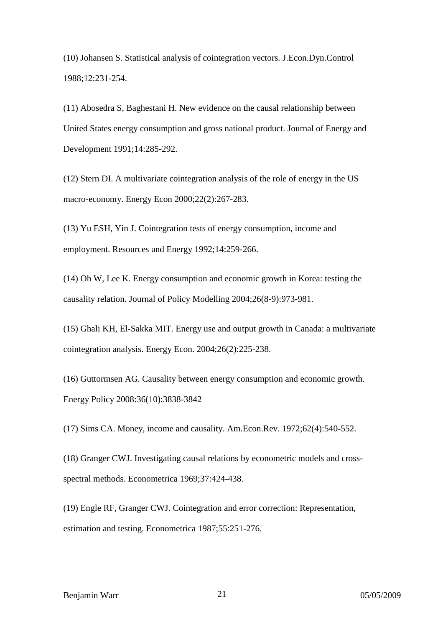(10) Johansen S. Statistical analysis of cointegration vectors. J.Econ.Dyn.Control 1988;12:231-254.

(11) Abosedra S, Baghestani H. New evidence on the causal relationship between United States energy consumption and gross national product. Journal of Energy and Development 1991;14:285-292.

(12) Stern DI. A multivariate cointegration analysis of the role of energy in the US macro-economy. Energy Econ 2000;22(2):267-283.

(13) Yu ESH, Yin J. Cointegration tests of energy consumption, income and employment. Resources and Energy 1992;14:259-266.

(14) Oh W, Lee K. Energy consumption and economic growth in Korea: testing the causality relation. Journal of Policy Modelling 2004;26(8-9):973-981.

(15) Ghali KH, El-Sakka MIT. Energy use and output growth in Canada: a multivariate cointegration analysis. Energy Econ. 2004;26(2):225-238.

(16) Guttormsen AG. Causality between energy consumption and economic growth. Energy Policy 2008:36(10):3838-3842

(17) Sims CA. Money, income and causality. Am.Econ.Rev. 1972;62(4):540-552.

(18) Granger CWJ. Investigating causal relations by econometric models and crossspectral methods. Econometrica 1969;37:424-438.

(19) Engle RF, Granger CWJ. Cointegration and error correction: Representation, estimation and testing. Econometrica 1987;55:251-276.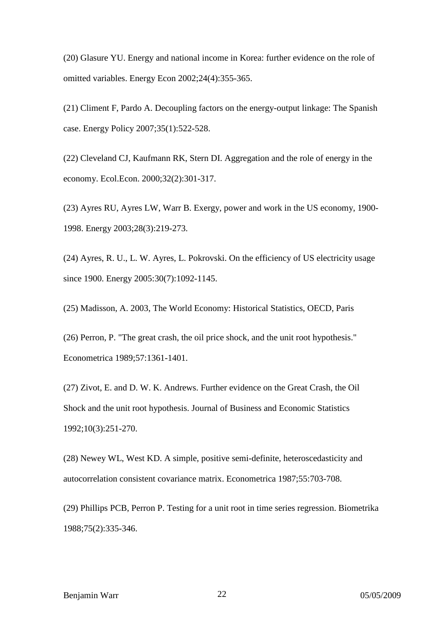(20) Glasure YU. Energy and national income in Korea: further evidence on the role of omitted variables. Energy Econ 2002;24(4):355-365.

(21) Climent F, Pardo A. Decoupling factors on the energy-output linkage: The Spanish case. Energy Policy 2007;35(1):522-528.

(22) Cleveland CJ, Kaufmann RK, Stern DI. Aggregation and the role of energy in the economy. Ecol.Econ. 2000;32(2):301-317.

(23) Ayres RU, Ayres LW, Warr B. Exergy, power and work in the US economy, 1900- 1998. Energy 2003;28(3):219-273.

(24) Ayres, R. U., L. W. Ayres, L. Pokrovski. On the efficiency of US electricity usage since 1900. Energy 2005:30(7):1092-1145.

(25) Madisson, A. 2003, The World Economy: Historical Statistics, OECD, Paris

(26) Perron, P. "The great crash, the oil price shock, and the unit root hypothesis." Econometrica 1989;57:1361-1401.

(27) Zivot, E. and D. W. K. Andrews. Further evidence on the Great Crash, the Oil Shock and the unit root hypothesis. Journal of Business and Economic Statistics 1992;10(3):251-270.

(28) Newey WL, West KD. A simple, positive semi-definite, heteroscedasticity and autocorrelation consistent covariance matrix. Econometrica 1987;55:703-708.

(29) Phillips PCB, Perron P. Testing for a unit root in time series regression. Biometrika 1988;75(2):335-346.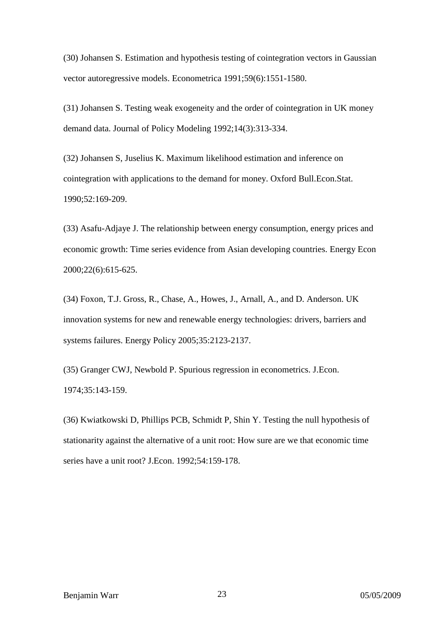(30) Johansen S. Estimation and hypothesis testing of cointegration vectors in Gaussian vector autoregressive models. Econometrica 1991;59(6):1551-1580.

(31) Johansen S. Testing weak exogeneity and the order of cointegration in UK money demand data. Journal of Policy Modeling 1992;14(3):313-334.

(32) Johansen S, Juselius K. Maximum likelihood estimation and inference on cointegration with applications to the demand for money. Oxford Bull.Econ.Stat. 1990;52:169-209.

(33) Asafu-Adjaye J. The relationship between energy consumption, energy prices and economic growth: Time series evidence from Asian developing countries. Energy Econ 2000;22(6):615-625.

(34) Foxon, T.J. Gross, R., Chase, A., Howes, J., Arnall, A., and D. Anderson. UK innovation systems for new and renewable energy technologies: drivers, barriers and systems failures. Energy Policy 2005;35:2123-2137.

(35) Granger CWJ, Newbold P. Spurious regression in econometrics. J.Econ. 1974;35:143-159.

(36) Kwiatkowski D, Phillips PCB, Schmidt P, Shin Y. Testing the null hypothesis of stationarity against the alternative of a unit root: How sure are we that economic time series have a unit root? J.Econ. 1992;54:159-178.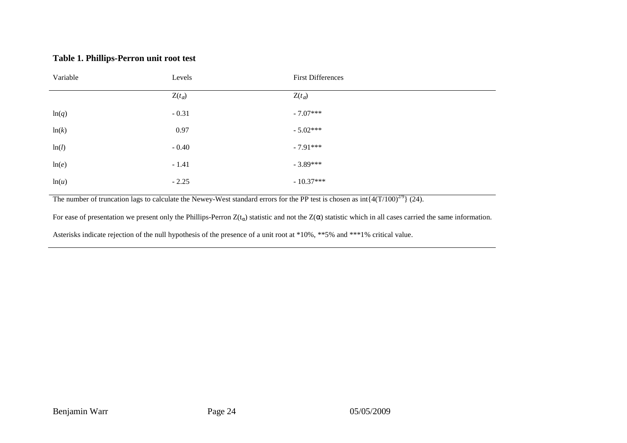### **Table 1. Phillips-Perron unit root test**

| Variable | Levels          | <b>First Differences</b> |  |  |
|----------|-----------------|--------------------------|--|--|
|          | $Z(t_{\alpha})$ | $Z(t_{\alpha})$          |  |  |
| ln(q)    | $-0.31$         | $-7.07***$               |  |  |
| ln(k)    | 0.97            | $-5.02***$               |  |  |
| ln(l)    | $-0.40$         | $-7.91***$               |  |  |
| ln(e)    | $-1.41$         | $-3.89***$               |  |  |
| ln(u)    | $-2.25$         | $-10.37***$              |  |  |

The number of truncation lags to calculate the Newey-West standard errors for the PP test is chosen as  $int\{4(T/100)^{2/9}\}$  (24).

For ease of presentation we present only the Phillips-Perron  $Z(t_\alpha)$  statistic and not the  $Z(\alpha)$  statistic which in all cases carried the same information.

Asterisks indicate rejection of the null hypothesis of the presence of a unit root at \*10%, \*\*5% and \*\*\*1% critical value.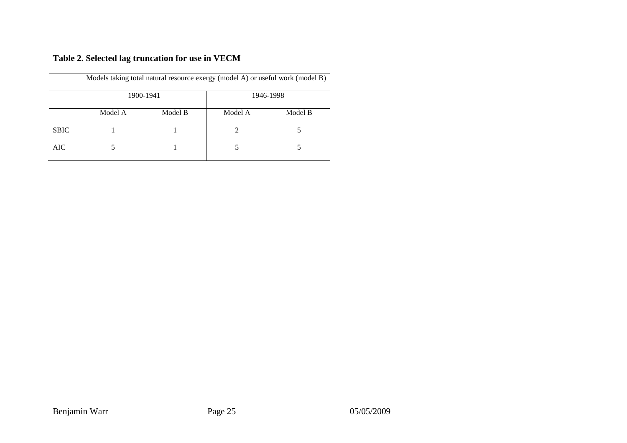# **Table 2. Selected lag truncation for use in VECM**

|             | 1900-1941 |         | 1946-1998 |         |  |
|-------------|-----------|---------|-----------|---------|--|
|             | Model A   | Model B | Model A   | Model B |  |
| <b>SBIC</b> |           |         |           |         |  |
| <b>AIC</b>  |           |         |           |         |  |

Models taking total natural resource exergy (model A) or useful work (model B)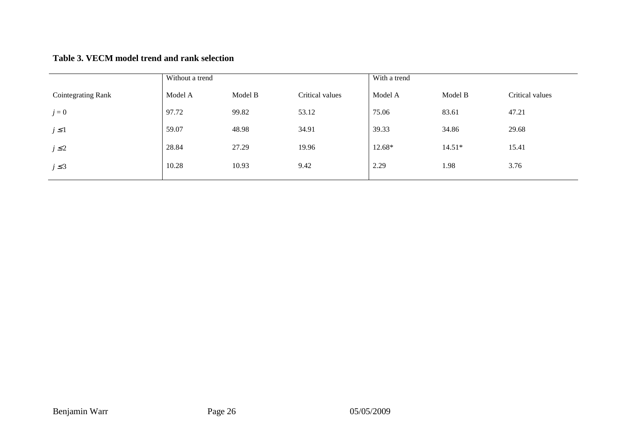# **Table 3. VECM model trend and rank selection**

|                           | Without a trend |         |                 | With a trend |          |                 |
|---------------------------|-----------------|---------|-----------------|--------------|----------|-----------------|
| <b>Cointegrating Rank</b> | Model A         | Model B | Critical values | Model A      | Model B  | Critical values |
| $j=0$                     | 97.72           | 99.82   | 53.12           | 75.06        | 83.61    | 47.21           |
| $j \leq 1$                | 59.07           | 48.98   | 34.91           | 39.33        | 34.86    | 29.68           |
| $j \leq 2$                | 28.84           | 27.29   | 19.96           | 12.68*       | $14.51*$ | 15.41           |
| $j \leq 3$                | 10.28           | 10.93   | 9.42            | 2.29         | 1.98     | 3.76            |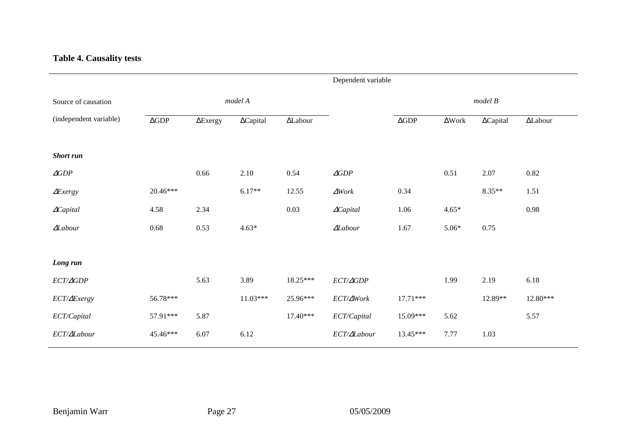## **Table 4. Causality tests**

|                        |                    |                 |                  |                 | Dependent variable  |                    |               |                  |                        |
|------------------------|--------------------|-----------------|------------------|-----------------|---------------------|--------------------|---------------|------------------|------------------------|
| Source of causation    | model A            |                 |                  |                 | model B             |                    |               |                  |                        |
| (independent variable) | $\Delta\text{GDP}$ | $\Delta$ Exergy | $\Delta$ Capital | $\Delta$ Labour |                     | $\Delta\text{GDP}$ | $\Delta$ Work | $\Delta$ Capital | $\Delta \text{Labour}$ |
| <b>Short</b> run       |                    |                 |                  |                 |                     |                    |               |                  |                        |
| $\triangle GDP$        |                    | 0.66            | 2.10             | 0.54            | $\triangle GDP$     |                    | 0.51          | 2.07             | 0.82                   |
| $\Delta$ <i>Exergy</i> | 20.46***           |                 | $6.17**$         | 12.55           | $\Delta Work$       | 0.34               |               | $8.35**$         | 1.51                   |
| $\triangle Capital$    | 4.58               | 2.34            |                  | 0.03            | $\triangle Capital$ | 1.06               | $4.65*$       |                  | 0.98                   |
| $\Delta$ Labour        | 0.68               | 0.53            | $4.63*$          |                 | $\Delta$ Labour     | 1.67               | $5.06*$       | 0.75             |                        |
|                        |                    |                 |                  |                 |                     |                    |               |                  |                        |
| Long run               |                    |                 |                  |                 |                     |                    |               |                  |                        |
| ECT/AGDP               |                    | 5.63            | 3.89             | 18.25***        | $ECT/\varDelta GDP$ |                    | 1.99          | 2.19             | 6.18                   |
| ECT/ $\Delta$ Exergy   | 56.78***           |                 | $11.03***$       | 25.96***        | ECT/∆Work           | $17.71***$         |               | 12.89**          | 12.80***               |
| ECT/Capital            | 57.91***           | 5.87            |                  | $17.40***$      | ECT/Capital         | 15.09***           | 5.62          |                  | 5.57                   |
| ECT/ALabour            | 45.46***           | 6.07            | 6.12             |                 | ECT/ALabour         | 13.45***           | 7.77          | 1.03             |                        |